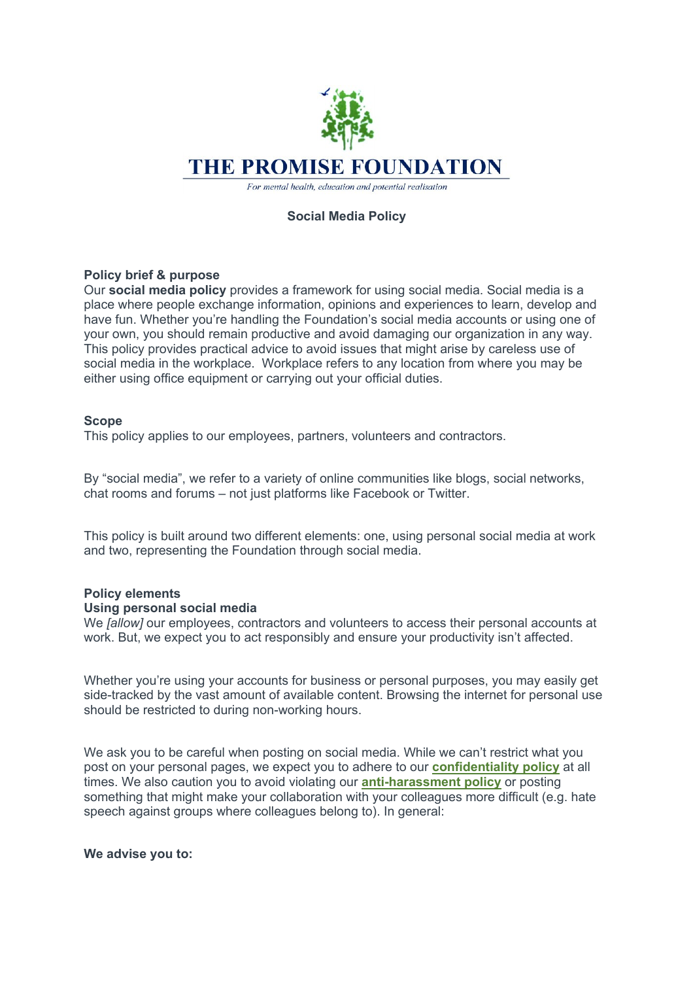

# **Social Media Policy**

## **Policy brief & purpose**

Our **social media policy** provides a framework for using social media. Social media is a place where people exchange information, opinions and experiences to learn, develop and have fun. Whether you're handling the Foundation's social media accounts or using one of your own, you should remain productive and avoid damaging our organization in any way. This policy provides practical advice to avoid issues that might arise by careless use of social media in the workplace. Workplace refers to any location from where you may be either using office equipment or carrying out your official duties.

#### **Scope**

This policy applies to our employees, partners, volunteers and contractors.

By "social media", we refer to a variety of online communities like blogs, social networks, chat rooms and forums – not just platforms like Facebook or Twitter.

This policy is built around two different elements: one, using personal social media at work and two, representing the Foundation through social media.

## **Policy elements**

#### **Using personal social media**

We *[allow]* our employees, contractors and volunteers to access their personal accounts at work. But, we expect you to act responsibly and ensure your productivity isn't affected.

Whether you're using your accounts for business or personal purposes, you may easily get side-tracked by the vast amount of available content. Browsing the internet for personal use should be restricted to during non-working hours.

We ask you to be careful when posting on social media. While we can't restrict what you post on your personal pages, we expect you to adhere to our **confidentiality policy** at all times. We also caution you to avoid violating our **anti-harassment policy** or posting something that might make your collaboration with your colleagues more difficult (e.g. hate speech against groups where colleagues belong to). In general:

#### **We advise you to:**